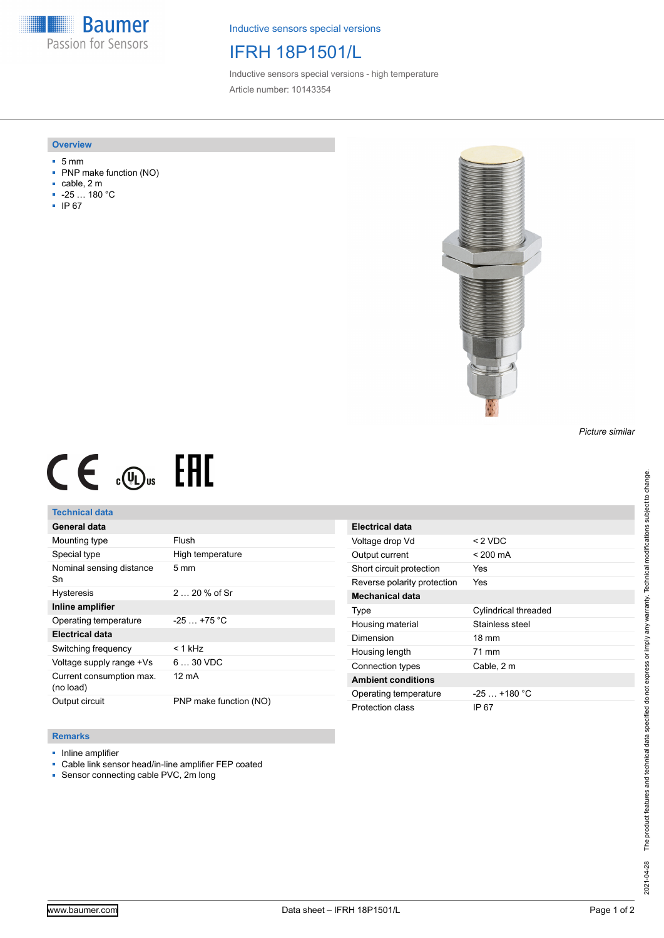**Baumer** Passion for Sensors

Inductive sensors special versions

# IFRH 18P1501/L

Inductive sensors special versions - high temperature Article number: 10143354

#### **Overview**

- 5 mm
- PNP make function (NO)
- cable, 2 m
- -25 … 180 °C
- IP 67



### *Picture similar*

# $CE \oplus E$

## **Technical data**

| General data                          |                        |
|---------------------------------------|------------------------|
| Mounting type                         | Flush                  |
| Special type                          | High temperature       |
| Nominal sensing distance<br>Sn        | $5 \text{ mm}$         |
| <b>Hysteresis</b>                     | $220%$ of Sr           |
| Inline amplifier                      |                        |
| Operating temperature                 | $-25$ $+75$ °C         |
| <b>Electrical data</b>                |                        |
| Switching frequency                   | $< 1$ kHz              |
| Voltage supply range +Vs              | $630$ VDC              |
| Current consumption max.<br>(no load) | 12 mA                  |
| Output circuit                        | PNP make function (NO) |

| <b>Electrical data</b>      |                             |
|-----------------------------|-----------------------------|
| Voltage drop Vd             | $<$ 2 VDC                   |
| Output current              | $< 200 \text{ mA}$          |
| Short circuit protection    | Yes                         |
| Reverse polarity protection | Yes                         |
| <b>Mechanical data</b>      |                             |
| Type                        | <b>Cylindrical threaded</b> |
| Housing material            | Stainless steel             |
| Dimension                   | $18 \text{ mm}$             |
| Housing length              | 71 mm                       |
| Connection types            | Cable, 2 m                  |
| <b>Ambient conditions</b>   |                             |
| Operating temperature       | $-25+180 °C$                |
| Protection class            | IP 67                       |

## **Remarks**

- Inline amplifier
- Cable link sensor head/in-line amplifier FEP coated
- Sensor connecting cable PVC, 2m long